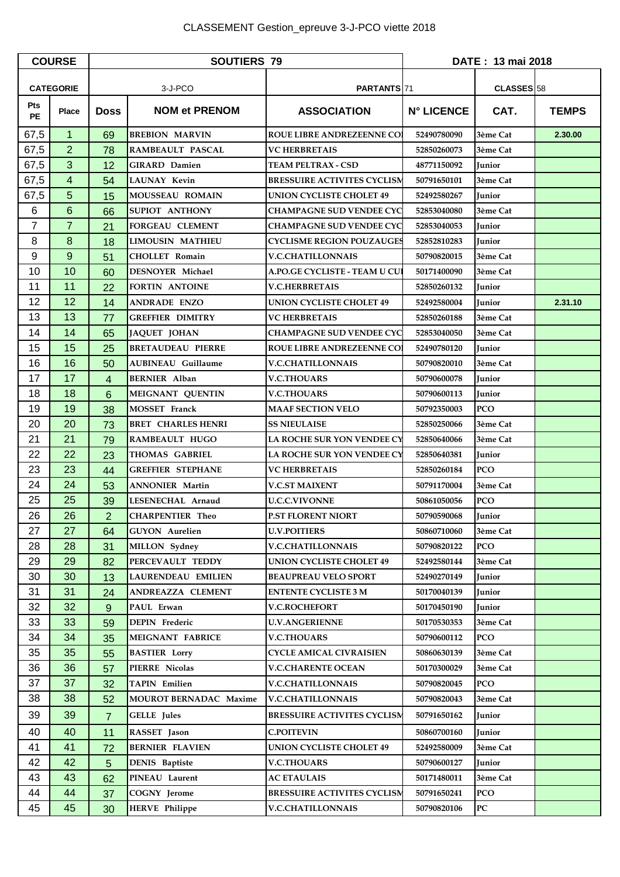| <b>COURSE</b>    |                | SOUTIERS 79    |                               |                                    | DATE: 13 mai 2018 |            |              |
|------------------|----------------|----------------|-------------------------------|------------------------------------|-------------------|------------|--------------|
| <b>CATEGORIE</b> |                | 3-J-PCO        |                               | <b>PARTANTS</b> [71                | CLASSES 58        |            |              |
| Pts<br><b>PE</b> | <b>Place</b>   | <b>Doss</b>    | <b>NOM et PRENOM</b>          | <b>ASSOCIATION</b>                 | <b>N° LICENCE</b> | CAT.       | <b>TEMPS</b> |
| 67,5             | $\mathbf 1$    | 69             | <b>BREBION MARVIN</b>         | <b>ROUE LIBRE ANDREZEENNE COI</b>  | 52490780090       | 3ème Cat   | 2.30.00      |
| 67,5             | $\overline{2}$ | 78             | RAMBEAULT PASCAL              | <b>VC HERBRETAIS</b>               | 52850260073       | 3ème Cat   |              |
| 67,5             | 3              | 12             | <b>GIRARD</b> Damien          | <b>TEAM PELTRAX - CSD</b>          | 48771150092       | Junior     |              |
| 67,5             | $\overline{4}$ | 54             | LAUNAY Kevin                  | <b>BRESSUIRE ACTIVITES CYCLISM</b> | 50791650101       | 3ème Cat   |              |
| 67,5             | 5              | 15             | <b>MOUSSEAU ROMAIN</b>        | <b>UNION CYCLISTE CHOLET 49</b>    | 52492580267       | Junior     |              |
| 6                | 6              | 66             | SUPIOT ANTHONY                | CHAMPAGNE SUD VENDEE CYC           | 52853040080       | 3ème Cat   |              |
| $\overline{7}$   | $\overline{7}$ | 21             | <b>FORGEAU CLEMENT</b>        | <b>CHAMPAGNE SUD VENDEE CYC</b>    | 52853040053       | Junior     |              |
| 8                | $\bf 8$        | 18             | LIMOUSIN MATHIEU              | <b>CYCLISME REGION POUZAUGES</b>   | 52852810283       | Junior     |              |
| 9                | 9              | 51             | <b>CHOLLET Romain</b>         | <b>V.C.CHATILLONNAIS</b>           | 50790820015       | 3ème Cat   |              |
| 10               | 10             | 60             | <b>DESNOYER Michael</b>       | A.PO.GE CYCLISTE - TEAM U CUI      | 50171400090       | 3ème Cat   |              |
| 11               | 11             | 22             | <b>FORTIN ANTOINE</b>         | <b>V.C.HERBRETAIS</b>              | 52850260132       | Junior     |              |
| 12               | 12             | 14             | <b>ANDRADE ENZO</b>           | <b>UNION CYCLISTE CHOLET 49</b>    | 52492580004       | Junior     | 2.31.10      |
| 13               | 13             | 77             | <b>GREFFIER DIMITRY</b>       | <b>VC HERBRETAIS</b>               | 52850260188       | 3ème Cat   |              |
| 14               | 14             | 65             | JAQUET JOHAN                  | <b>CHAMPAGNE SUD VENDEE CYC</b>    | 52853040050       | 3ème Cat   |              |
| 15               | 15             | 25             | <b>BRETAUDEAU PIERRE</b>      | <b>ROUE LIBRE ANDREZEENNE COI</b>  | 52490780120       | Junior     |              |
| 16               | 16             | 50             | <b>AUBINEAU Guillaume</b>     | <b>V.C.CHATILLONNAIS</b>           | 50790820010       | 3ème Cat   |              |
| 17               | 17             | $\overline{4}$ | <b>BERNIER Alban</b>          | <b>V.C.THOUARS</b>                 | 50790600078       | Junior     |              |
| 18               | 18             | 6              | MEIGNANT QUENTIN              | <b>V.C.THOUARS</b>                 | 50790600113       | Junior     |              |
| 19               | 19             | 38             | MOSSET Franck                 | <b>MAAF SECTION VELO</b>           | 50792350003       | <b>PCO</b> |              |
| 20               | 20             | 73             | <b>BRET CHARLES HENRI</b>     | <b>SS NIEULAISE</b>                | 52850250066       | 3ème Cat   |              |
| 21               | 21             | 79             | RAMBEAULT HUGO                | LA ROCHE SUR YON VENDEE CY         | 52850640066       | 3ème Cat   |              |
| 22               | 22             | 23             | THOMAS GABRIEL                | <b>LA ROCHE SUR YON VENDEE CY</b>  | 52850640381       | Junior     |              |
| 23               | 23             | 44             | <b>GREFFIER STEPHANE</b>      | <b>VC HERBRETAIS</b>               | 52850260184       | <b>PCO</b> |              |
| 24               | 24             | 53             | <b>ANNONIER Martin</b>        | <b>V.C.ST MAIXENT</b>              | 50791170004       | 3ème Cat   |              |
| 25               | 25             | 39             | LESENECHAL Arnaud             | <b>U.C.C.VIVONNE</b>               | 50861050056       | <b>PCO</b> |              |
| 26               | 26             | $\overline{2}$ | CHARPENTIER Theo              | P.ST FLORENT NIORT                 | 50790590068       | Junior     |              |
| 27               | 27             | 64             | <b>GUYON</b> Aurelien         | <b>U.V.POITIERS</b>                | 50860710060       | 3ème Cat   |              |
| 28               | 28             | 31             | MILLON Sydney                 | <b>V.C.CHATILLONNAIS</b>           | 50790820122       | <b>PCO</b> |              |
| 29               | 29             | 82             | PERCEVAULT TEDDY              | <b>UNION CYCLISTE CHOLET 49</b>    | 52492580144       | 3ème Cat   |              |
| 30               | 30             | 13             | <b>LAURENDEAU EMILIEN</b>     | <b>BEAUPREAU VELO SPORT</b>        | 52490270149       | Junior     |              |
| 31               | 31             | 24             | ANDREAZZA CLEMENT             | <b>ENTENTE CYCLISTE 3 M</b>        | 50170040139       | Junior     |              |
| 32               | 32             | $9^{\circ}$    | PAUL Erwan                    | <b>V.C.ROCHEFORT</b>               | 50170450190       | Junior     |              |
| 33               | 33             | 59             | <b>DEPIN</b> Frederic         | <b>U.V.ANGERIENNE</b>              | 50170530353       | 3ème Cat   |              |
| 34               | 34             | 35             | <b>MEIGNANT FABRICE</b>       | <b>V.C.THOUARS</b>                 | 50790600112       | <b>PCO</b> |              |
| 35               | 35             | 55             | <b>BASTIER Lorry</b>          | <b>CYCLE AMICAL CIVRAISIEN</b>     | 50860630139       | 3ème Cat   |              |
| 36               | 36             | 57             | PIERRE Nicolas                | <b>V.C.CHARENTE OCEAN</b>          | 50170300029       | 3ème Cat   |              |
| 37               | 37             | 32             | TAPIN Emilien                 | <b>V.C.CHATILLONNAIS</b>           | 50790820045       | <b>PCO</b> |              |
| 38               | 38             | 52             | <b>MOUROT BERNADAC Maxime</b> | <b>V.C.CHATILLONNAIS</b>           | 50790820043       | 3ème Cat   |              |
| 39               | 39             | $\overline{7}$ | <b>GELLE</b> Jules            | <b>BRESSUIRE ACTIVITES CYCLISM</b> | 50791650162       | Junior     |              |
| 40               | 40             | 11             | RASSET Jason                  | <b>C.POITEVIN</b>                  | 50860700160       | Junior     |              |
| 41               | 41             | 72             | <b>BERNIER FLAVIEN</b>        | <b>UNION CYCLISTE CHOLET 49</b>    | 52492580009       | 3ème Cat   |              |
| 42               | 42             | 5              | <b>DENIS</b> Baptiste         | <b>V.C.THOUARS</b>                 | 50790600127       | Junior     |              |
| 43               | 43             | 62             | PINEAU Laurent                | <b>AC ETAULAIS</b>                 | 50171480011       | 3ème Cat   |              |
| 44               | 44             | 37             | <b>COGNY</b> Jerome           | <b>BRESSUIRE ACTIVITES CYCLISM</b> | 50791650241       | PCO        |              |
| 45               | 45             | 30             | <b>HERVE Philippe</b>         | <b>V.C.CHATILLONNAIS</b>           | 50790820106       | PC         |              |